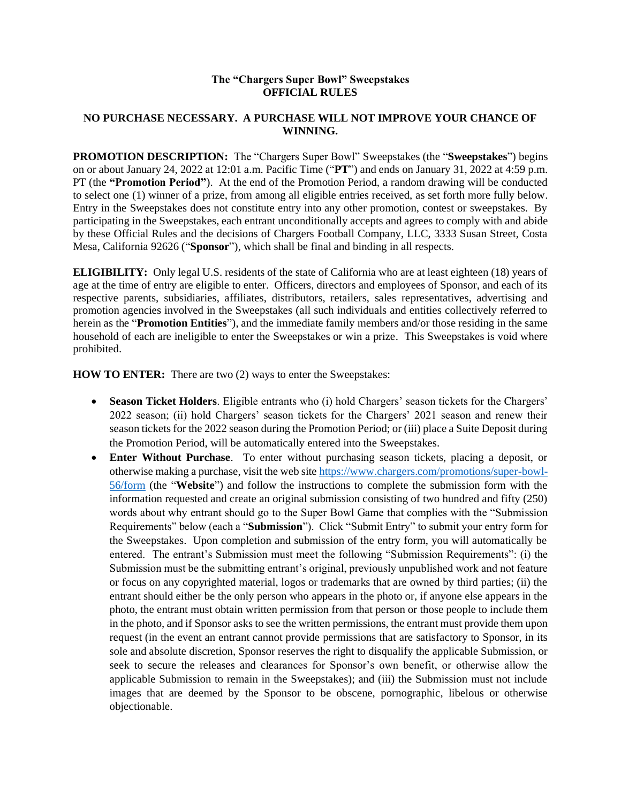## **The "Chargers Super Bowl" Sweepstakes OFFICIAL RULES**

## **NO PURCHASE NECESSARY. A PURCHASE WILL NOT IMPROVE YOUR CHANCE OF WINNING.**

**PROMOTION DESCRIPTION:** The "Chargers Super Bowl" Sweepstakes (the "**Sweepstakes**") begins on or about January 24, 2022 at 12:01 a.m. Pacific Time ("**PT**") and ends on January 31, 2022 at 4:59 p.m. PT (the **"Promotion Period"**). At the end of the Promotion Period, a random drawing will be conducted to select one (1) winner of a prize, from among all eligible entries received, as set forth more fully below. Entry in the Sweepstakes does not constitute entry into any other promotion, contest or sweepstakes. By participating in the Sweepstakes, each entrant unconditionally accepts and agrees to comply with and abide by these Official Rules and the decisions of Chargers Football Company, LLC, 3333 Susan Street, Costa Mesa, California 92626 ("**Sponsor**"), which shall be final and binding in all respects.

**ELIGIBILITY:** Only legal U.S. residents of the state of California who are at least eighteen (18) years of age at the time of entry are eligible to enter. Officers, directors and employees of Sponsor, and each of its respective parents, subsidiaries, affiliates, distributors, retailers, sales representatives, advertising and promotion agencies involved in the Sweepstakes (all such individuals and entities collectively referred to herein as the "**Promotion Entities**"), and the immediate family members and/or those residing in the same household of each are ineligible to enter the Sweepstakes or win a prize. This Sweepstakes is void where prohibited.

**HOW TO ENTER:** There are two (2) ways to enter the Sweepstakes:

- **Season Ticket Holders**. Eligible entrants who (i) hold Chargers' season tickets for the Chargers' 2022 season; (ii) hold Chargers' season tickets for the Chargers' 2021 season and renew their season tickets for the 2022 season during the Promotion Period; or (iii) place a Suite Deposit during the Promotion Period, will be automatically entered into the Sweepstakes.
- **Enter Without Purchase**. To enter without purchasing season tickets, placing a deposit, or otherwise making a purchase, visit the web sit[e https://www.chargers.com/promotions/super-bowl-](https://www.chargers.com/promotions/super-bowl-56/form)[56/form](https://www.chargers.com/promotions/super-bowl-56/form) (the "**Website**") and follow the instructions to complete the submission form with the information requested and create an original submission consisting of two hundred and fifty (250) words about why entrant should go to the Super Bowl Game that complies with the "Submission Requirements" below (each a "**Submission**"). Click "Submit Entry" to submit your entry form for the Sweepstakes. Upon completion and submission of the entry form, you will automatically be entered. The entrant's Submission must meet the following "Submission Requirements": (i) the Submission must be the submitting entrant's original, previously unpublished work and not feature or focus on any copyrighted material, logos or trademarks that are owned by third parties; (ii) the entrant should either be the only person who appears in the photo or, if anyone else appears in the photo, the entrant must obtain written permission from that person or those people to include them in the photo, and if Sponsor asks to see the written permissions, the entrant must provide them upon request (in the event an entrant cannot provide permissions that are satisfactory to Sponsor, in its sole and absolute discretion, Sponsor reserves the right to disqualify the applicable Submission, or seek to secure the releases and clearances for Sponsor's own benefit, or otherwise allow the applicable Submission to remain in the Sweepstakes); and (iii) the Submission must not include images that are deemed by the Sponsor to be obscene, pornographic, libelous or otherwise objectionable.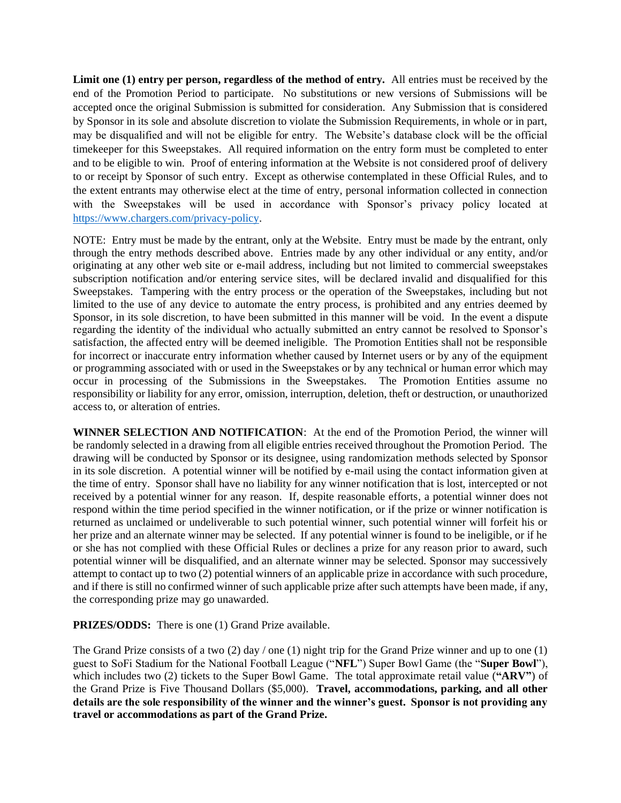**Limit one (1) entry per person, regardless of the method of entry.** All entries must be received by the end of the Promotion Period to participate. No substitutions or new versions of Submissions will be accepted once the original Submission is submitted for consideration. Any Submission that is considered by Sponsor in its sole and absolute discretion to violate the Submission Requirements, in whole or in part, may be disqualified and will not be eligible for entry. The Website's database clock will be the official timekeeper for this Sweepstakes. All required information on the entry form must be completed to enter and to be eligible to win. Proof of entering information at the Website is not considered proof of delivery to or receipt by Sponsor of such entry. Except as otherwise contemplated in these Official Rules, and to the extent entrants may otherwise elect at the time of entry, personal information collected in connection with the Sweepstakes will be used in accordance with Sponsor's privacy policy located at [https://www.chargers.com/privacy-policy.](https://www.chargers.com/privacy-policy)

NOTE: Entry must be made by the entrant, only at the Website. Entry must be made by the entrant, only through the entry methods described above. Entries made by any other individual or any entity, and/or originating at any other web site or e-mail address, including but not limited to commercial sweepstakes subscription notification and/or entering service sites, will be declared invalid and disqualified for this Sweepstakes. Tampering with the entry process or the operation of the Sweepstakes, including but not limited to the use of any device to automate the entry process, is prohibited and any entries deemed by Sponsor, in its sole discretion, to have been submitted in this manner will be void. In the event a dispute regarding the identity of the individual who actually submitted an entry cannot be resolved to Sponsor's satisfaction, the affected entry will be deemed ineligible. The Promotion Entities shall not be responsible for incorrect or inaccurate entry information whether caused by Internet users or by any of the equipment or programming associated with or used in the Sweepstakes or by any technical or human error which may occur in processing of the Submissions in the Sweepstakes. The Promotion Entities assume no responsibility or liability for any error, omission, interruption, deletion, theft or destruction, or unauthorized access to, or alteration of entries.

**WINNER SELECTION AND NOTIFICATION**: At the end of the Promotion Period, the winner will be randomly selected in a drawing from all eligible entries received throughout the Promotion Period. The drawing will be conducted by Sponsor or its designee, using randomization methods selected by Sponsor in its sole discretion. A potential winner will be notified by e-mail using the contact information given at the time of entry. Sponsor shall have no liability for any winner notification that is lost, intercepted or not received by a potential winner for any reason. If, despite reasonable efforts, a potential winner does not respond within the time period specified in the winner notification, or if the prize or winner notification is returned as unclaimed or undeliverable to such potential winner, such potential winner will forfeit his or her prize and an alternate winner may be selected. If any potential winner is found to be ineligible, or if he or she has not complied with these Official Rules or declines a prize for any reason prior to award, such potential winner will be disqualified, and an alternate winner may be selected. Sponsor may successively attempt to contact up to two (2) potential winners of an applicable prize in accordance with such procedure, and if there is still no confirmed winner of such applicable prize after such attempts have been made, if any, the corresponding prize may go unawarded.

**PRIZES/ODDS:** There is one (1) Grand Prize available.

The Grand Prize consists of a two (2) day / one (1) night trip for the Grand Prize winner and up to one (1) guest to SoFi Stadium for the National Football League ("**NFL**") Super Bowl Game (the "**Super Bowl**"), which includes two (2) tickets to the Super Bowl Game. The total approximate retail value (**"ARV**") of the Grand Prize is Five Thousand Dollars (\$5,000). **Travel, accommodations, parking, and all other details are the sole responsibility of the winner and the winner's guest. Sponsor is not providing any travel or accommodations as part of the Grand Prize.**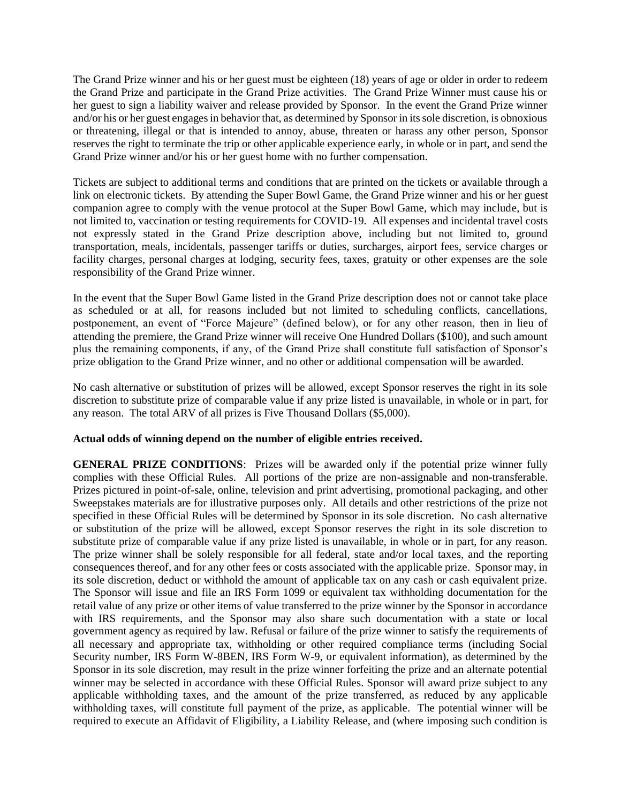The Grand Prize winner and his or her guest must be eighteen (18) years of age or older in order to redeem the Grand Prize and participate in the Grand Prize activities. The Grand Prize Winner must cause his or her guest to sign a liability waiver and release provided by Sponsor. In the event the Grand Prize winner and/or his or her guest engages in behavior that, as determined by Sponsor in its sole discretion, is obnoxious or threatening, illegal or that is intended to annoy, abuse, threaten or harass any other person, Sponsor reserves the right to terminate the trip or other applicable experience early, in whole or in part, and send the Grand Prize winner and/or his or her guest home with no further compensation.

Tickets are subject to additional terms and conditions that are printed on the tickets or available through a link on electronic tickets. By attending the Super Bowl Game, the Grand Prize winner and his or her guest companion agree to comply with the venue protocol at the Super Bowl Game, which may include, but is not limited to, vaccination or testing requirements for COVID-19. All expenses and incidental travel costs not expressly stated in the Grand Prize description above, including but not limited to, ground transportation, meals, incidentals, passenger tariffs or duties, surcharges, airport fees, service charges or facility charges, personal charges at lodging, security fees, taxes, gratuity or other expenses are the sole responsibility of the Grand Prize winner.

In the event that the Super Bowl Game listed in the Grand Prize description does not or cannot take place as scheduled or at all, for reasons included but not limited to scheduling conflicts, cancellations, postponement, an event of "Force Majeure" (defined below), or for any other reason, then in lieu of attending the premiere, the Grand Prize winner will receive One Hundred Dollars (\$100), and such amount plus the remaining components, if any, of the Grand Prize shall constitute full satisfaction of Sponsor's prize obligation to the Grand Prize winner, and no other or additional compensation will be awarded.

No cash alternative or substitution of prizes will be allowed, except Sponsor reserves the right in its sole discretion to substitute prize of comparable value if any prize listed is unavailable, in whole or in part, for any reason. The total ARV of all prizes is Five Thousand Dollars (\$5,000).

## **Actual odds of winning depend on the number of eligible entries received.**

**GENERAL PRIZE CONDITIONS**: Prizes will be awarded only if the potential prize winner fully complies with these Official Rules. All portions of the prize are non-assignable and non-transferable. Prizes pictured in point-of-sale, online, television and print advertising, promotional packaging, and other Sweepstakes materials are for illustrative purposes only. All details and other restrictions of the prize not specified in these Official Rules will be determined by Sponsor in its sole discretion. No cash alternative or substitution of the prize will be allowed, except Sponsor reserves the right in its sole discretion to substitute prize of comparable value if any prize listed is unavailable, in whole or in part, for any reason. The prize winner shall be solely responsible for all federal, state and/or local taxes, and the reporting consequences thereof, and for any other fees or costs associated with the applicable prize. Sponsor may, in its sole discretion, deduct or withhold the amount of applicable tax on any cash or cash equivalent prize. The Sponsor will issue and file an IRS Form 1099 or equivalent tax withholding documentation for the retail value of any prize or other items of value transferred to the prize winner by the Sponsor in accordance with IRS requirements, and the Sponsor may also share such documentation with a state or local government agency as required by law. Refusal or failure of the prize winner to satisfy the requirements of all necessary and appropriate tax, withholding or other required compliance terms (including Social Security number, IRS Form W-8BEN, IRS Form W-9, or equivalent information), as determined by the Sponsor in its sole discretion, may result in the prize winner forfeiting the prize and an alternate potential winner may be selected in accordance with these Official Rules. Sponsor will award prize subject to any applicable withholding taxes, and the amount of the prize transferred, as reduced by any applicable withholding taxes, will constitute full payment of the prize, as applicable. The potential winner will be required to execute an Affidavit of Eligibility, a Liability Release, and (where imposing such condition is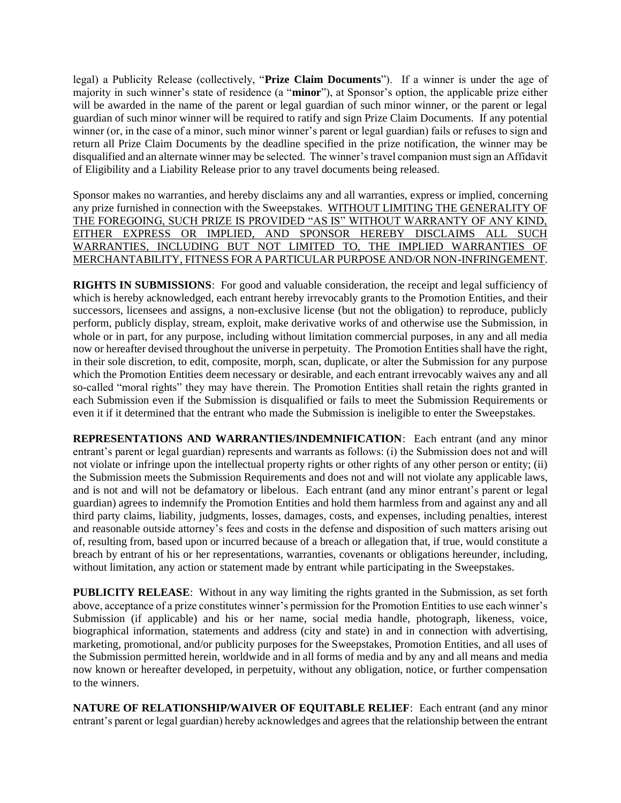legal) a Publicity Release (collectively, "**Prize Claim Documents**"). If a winner is under the age of majority in such winner's state of residence (a "**minor**"), at Sponsor's option, the applicable prize either will be awarded in the name of the parent or legal guardian of such minor winner, or the parent or legal guardian of such minor winner will be required to ratify and sign Prize Claim Documents. If any potential winner (or, in the case of a minor, such minor winner's parent or legal guardian) fails or refuses to sign and return all Prize Claim Documents by the deadline specified in the prize notification, the winner may be disqualified and an alternate winner may be selected. The winner's travel companion must sign an Affidavit of Eligibility and a Liability Release prior to any travel documents being released.

Sponsor makes no warranties, and hereby disclaims any and all warranties, express or implied, concerning any prize furnished in connection with the Sweepstakes. WITHOUT LIMITING THE GENERALITY OF THE FOREGOING, SUCH PRIZE IS PROVIDED "AS IS" WITHOUT WARRANTY OF ANY KIND, EITHER EXPRESS OR IMPLIED, AND SPONSOR HEREBY DISCLAIMS ALL SUCH WARRANTIES, INCLUDING BUT NOT LIMITED TO, THE IMPLIED WARRANTIES OF MERCHANTABILITY, FITNESS FOR A PARTICULAR PURPOSE AND/OR NON-INFRINGEMENT.

**RIGHTS IN SUBMISSIONS**: For good and valuable consideration, the receipt and legal sufficiency of which is hereby acknowledged, each entrant hereby irrevocably grants to the Promotion Entities, and their successors, licensees and assigns, a non-exclusive license (but not the obligation) to reproduce, publicly perform, publicly display, stream, exploit, make derivative works of and otherwise use the Submission, in whole or in part, for any purpose, including without limitation commercial purposes, in any and all media now or hereafter devised throughout the universe in perpetuity. The Promotion Entities shall have the right, in their sole discretion, to edit, composite, morph, scan, duplicate, or alter the Submission for any purpose which the Promotion Entities deem necessary or desirable, and each entrant irrevocably waives any and all so-called "moral rights" they may have therein. The Promotion Entities shall retain the rights granted in each Submission even if the Submission is disqualified or fails to meet the Submission Requirements or even it if it determined that the entrant who made the Submission is ineligible to enter the Sweepstakes.

**REPRESENTATIONS AND WARRANTIES/INDEMNIFICATION**: Each entrant (and any minor entrant's parent or legal guardian) represents and warrants as follows: (i) the Submission does not and will not violate or infringe upon the intellectual property rights or other rights of any other person or entity; (ii) the Submission meets the Submission Requirements and does not and will not violate any applicable laws, and is not and will not be defamatory or libelous. Each entrant (and any minor entrant's parent or legal guardian) agrees to indemnify the Promotion Entities and hold them harmless from and against any and all third party claims, liability, judgments, losses, damages, costs, and expenses, including penalties, interest and reasonable outside attorney's fees and costs in the defense and disposition of such matters arising out of, resulting from, based upon or incurred because of a breach or allegation that, if true, would constitute a breach by entrant of his or her representations, warranties, covenants or obligations hereunder, including, without limitation, any action or statement made by entrant while participating in the Sweepstakes.

**PUBLICITY RELEASE:** Without in any way limiting the rights granted in the Submission, as set forth above, acceptance of a prize constitutes winner's permission for the Promotion Entities to use each winner's Submission (if applicable) and his or her name, social media handle, photograph, likeness, voice, biographical information, statements and address (city and state) in and in connection with advertising, marketing, promotional, and/or publicity purposes for the Sweepstakes, Promotion Entities, and all uses of the Submission permitted herein, worldwide and in all forms of media and by any and all means and media now known or hereafter developed, in perpetuity, without any obligation, notice, or further compensation to the winners.

**NATURE OF RELATIONSHIP/WAIVER OF EQUITABLE RELIEF**: Each entrant (and any minor entrant's parent or legal guardian) hereby acknowledges and agrees that the relationship between the entrant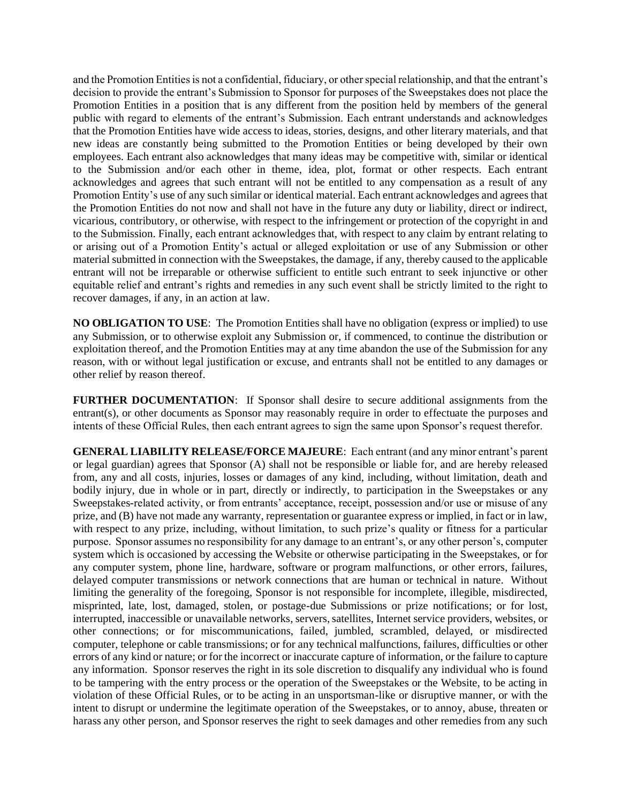and the Promotion Entities is not a confidential, fiduciary, or other special relationship, and that the entrant's decision to provide the entrant's Submission to Sponsor for purposes of the Sweepstakes does not place the Promotion Entities in a position that is any different from the position held by members of the general public with regard to elements of the entrant's Submission. Each entrant understands and acknowledges that the Promotion Entities have wide access to ideas, stories, designs, and other literary materials, and that new ideas are constantly being submitted to the Promotion Entities or being developed by their own employees. Each entrant also acknowledges that many ideas may be competitive with, similar or identical to the Submission and/or each other in theme, idea, plot, format or other respects. Each entrant acknowledges and agrees that such entrant will not be entitled to any compensation as a result of any Promotion Entity's use of any such similar or identical material. Each entrant acknowledges and agrees that the Promotion Entities do not now and shall not have in the future any duty or liability, direct or indirect, vicarious, contributory, or otherwise, with respect to the infringement or protection of the copyright in and to the Submission. Finally, each entrant acknowledges that, with respect to any claim by entrant relating to or arising out of a Promotion Entity's actual or alleged exploitation or use of any Submission or other material submitted in connection with the Sweepstakes, the damage, if any, thereby caused to the applicable entrant will not be irreparable or otherwise sufficient to entitle such entrant to seek injunctive or other equitable relief and entrant's rights and remedies in any such event shall be strictly limited to the right to recover damages, if any, in an action at law.

**NO OBLIGATION TO USE**: The Promotion Entities shall have no obligation (express or implied) to use any Submission, or to otherwise exploit any Submission or, if commenced, to continue the distribution or exploitation thereof, and the Promotion Entities may at any time abandon the use of the Submission for any reason, with or without legal justification or excuse, and entrants shall not be entitled to any damages or other relief by reason thereof.

**FURTHER DOCUMENTATION**: If Sponsor shall desire to secure additional assignments from the entrant(s), or other documents as Sponsor may reasonably require in order to effectuate the purposes and intents of these Official Rules, then each entrant agrees to sign the same upon Sponsor's request therefor.

**GENERAL LIABILITY RELEASE/FORCE MAJEURE**: Each entrant (and any minor entrant's parent or legal guardian) agrees that Sponsor (A) shall not be responsible or liable for, and are hereby released from, any and all costs, injuries, losses or damages of any kind, including, without limitation, death and bodily injury, due in whole or in part, directly or indirectly, to participation in the Sweepstakes or any Sweepstakes-related activity, or from entrants' acceptance, receipt, possession and/or use or misuse of any prize, and (B) have not made any warranty, representation or guarantee express or implied, in fact or in law, with respect to any prize, including, without limitation, to such prize's quality or fitness for a particular purpose. Sponsor assumes no responsibility for any damage to an entrant's, or any other person's, computer system which is occasioned by accessing the Website or otherwise participating in the Sweepstakes, or for any computer system, phone line, hardware, software or program malfunctions, or other errors, failures, delayed computer transmissions or network connections that are human or technical in nature. Without limiting the generality of the foregoing, Sponsor is not responsible for incomplete, illegible, misdirected, misprinted, late, lost, damaged, stolen, or postage-due Submissions or prize notifications; or for lost, interrupted, inaccessible or unavailable networks, servers, satellites, Internet service providers, websites, or other connections; or for miscommunications, failed, jumbled, scrambled, delayed, or misdirected computer, telephone or cable transmissions; or for any technical malfunctions, failures, difficulties or other errors of any kind or nature; or for the incorrect or inaccurate capture of information, or the failure to capture any information. Sponsor reserves the right in its sole discretion to disqualify any individual who is found to be tampering with the entry process or the operation of the Sweepstakes or the Website, to be acting in violation of these Official Rules, or to be acting in an unsportsman-like or disruptive manner, or with the intent to disrupt or undermine the legitimate operation of the Sweepstakes, or to annoy, abuse, threaten or harass any other person, and Sponsor reserves the right to seek damages and other remedies from any such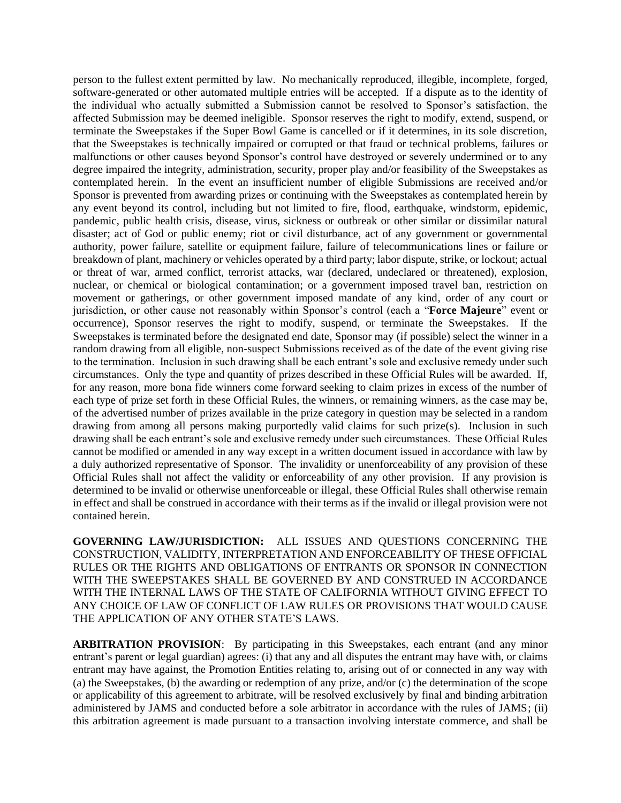person to the fullest extent permitted by law. No mechanically reproduced, illegible, incomplete, forged, software-generated or other automated multiple entries will be accepted. If a dispute as to the identity of the individual who actually submitted a Submission cannot be resolved to Sponsor's satisfaction, the affected Submission may be deemed ineligible. Sponsor reserves the right to modify, extend, suspend, or terminate the Sweepstakes if the Super Bowl Game is cancelled or if it determines, in its sole discretion, that the Sweepstakes is technically impaired or corrupted or that fraud or technical problems, failures or malfunctions or other causes beyond Sponsor's control have destroyed or severely undermined or to any degree impaired the integrity, administration, security, proper play and/or feasibility of the Sweepstakes as contemplated herein. In the event an insufficient number of eligible Submissions are received and/or Sponsor is prevented from awarding prizes or continuing with the Sweepstakes as contemplated herein by any event beyond its control, including but not limited to fire, flood, earthquake, windstorm, epidemic, pandemic, public health crisis, disease, virus, sickness or outbreak or other similar or dissimilar natural disaster; act of God or public enemy; riot or civil disturbance, act of any government or governmental authority, power failure, satellite or equipment failure, failure of telecommunications lines or failure or breakdown of plant, machinery or vehicles operated by a third party; labor dispute, strike, or lockout; actual or threat of war, armed conflict, terrorist attacks, war (declared, undeclared or threatened), explosion, nuclear, or chemical or biological contamination; or a government imposed travel ban, restriction on movement or gatherings, or other government imposed mandate of any kind, order of any court or jurisdiction, or other cause not reasonably within Sponsor's control (each a "**Force Majeure**" event or occurrence), Sponsor reserves the right to modify, suspend, or terminate the Sweepstakes. If the Sweepstakes is terminated before the designated end date, Sponsor may (if possible) select the winner in a random drawing from all eligible, non-suspect Submissions received as of the date of the event giving rise to the termination. Inclusion in such drawing shall be each entrant's sole and exclusive remedy under such circumstances. Only the type and quantity of prizes described in these Official Rules will be awarded. If, for any reason, more bona fide winners come forward seeking to claim prizes in excess of the number of each type of prize set forth in these Official Rules, the winners, or remaining winners, as the case may be, of the advertised number of prizes available in the prize category in question may be selected in a random drawing from among all persons making purportedly valid claims for such prize(s). Inclusion in such drawing shall be each entrant's sole and exclusive remedy under such circumstances. These Official Rules cannot be modified or amended in any way except in a written document issued in accordance with law by a duly authorized representative of Sponsor. The invalidity or unenforceability of any provision of these Official Rules shall not affect the validity or enforceability of any other provision. If any provision is determined to be invalid or otherwise unenforceable or illegal, these Official Rules shall otherwise remain in effect and shall be construed in accordance with their terms as if the invalid or illegal provision were not contained herein.

**GOVERNING LAW/JURISDICTION:** ALL ISSUES AND QUESTIONS CONCERNING THE CONSTRUCTION, VALIDITY, INTERPRETATION AND ENFORCEABILITY OF THESE OFFICIAL RULES OR THE RIGHTS AND OBLIGATIONS OF ENTRANTS OR SPONSOR IN CONNECTION WITH THE SWEEPSTAKES SHALL BE GOVERNED BY AND CONSTRUED IN ACCORDANCE WITH THE INTERNAL LAWS OF THE STATE OF CALIFORNIA WITHOUT GIVING EFFECT TO ANY CHOICE OF LAW OF CONFLICT OF LAW RULES OR PROVISIONS THAT WOULD CAUSE THE APPLICATION OF ANY OTHER STATE'S LAWS.

**ARBITRATION PROVISION**: By participating in this Sweepstakes, each entrant (and any minor entrant's parent or legal guardian) agrees: (i) that any and all disputes the entrant may have with, or claims entrant may have against, the Promotion Entities relating to, arising out of or connected in any way with (a) the Sweepstakes, (b) the awarding or redemption of any prize, and/or (c) the determination of the scope or applicability of this agreement to arbitrate, will be resolved exclusively by final and binding arbitration administered by JAMS and conducted before a sole arbitrator in accordance with the rules of JAMS; (ii) this arbitration agreement is made pursuant to a transaction involving interstate commerce, and shall be